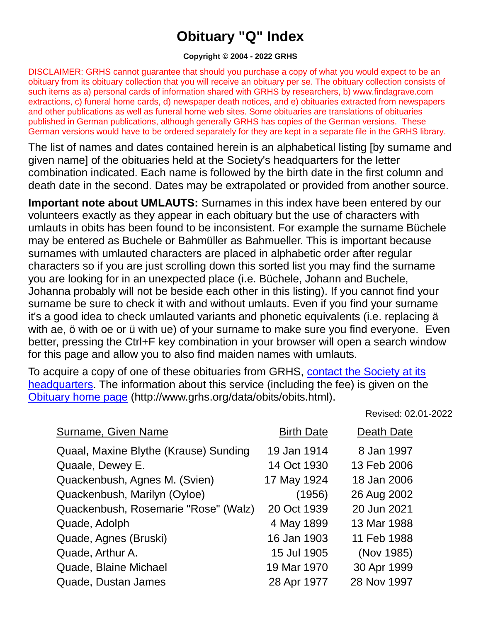## **Obituary "Q" Index**

## **Copyright © 2004 - 2022 GRHS**

DISCLAIMER: GRHS cannot guarantee that should you purchase a copy of what you would expect to be an obituary from its obituary collection that you will receive an obituary per se. The obituary collection consists of such items as a) personal cards of information shared with GRHS by researchers, b) www.findagrave.com extractions, c) funeral home cards, d) newspaper death notices, and e) obituaries extracted from newspapers and other publications as well as funeral home web sites. Some obituaries are translations of obituaries published in German publications, although generally GRHS has copies of the German versions. These German versions would have to be ordered separately for they are kept in a separate file in the GRHS library.

The list of names and dates contained herein is an alphabetical listing [by surname and given name] of the obituaries held at the Society's headquarters for the letter combination indicated. Each name is followed by the birth date in the first column and death date in the second. Dates may be extrapolated or provided from another source.

**Important note about UMLAUTS:** Surnames in this index have been entered by our volunteers exactly as they appear in each obituary but the use of characters with umlauts in obits has been found to be inconsistent. For example the surname Büchele may be entered as Buchele or Bahmüller as Bahmueller. This is important because surnames with umlauted characters are placed in alphabetic order after regular characters so if you are just scrolling down this sorted list you may find the surname you are looking for in an unexpected place (i.e. Büchele, Johann and Buchele, Johanna probably will not be beside each other in this listing). If you cannot find your surname be sure to check it with and without umlauts. Even if you find your surname it's a good idea to check umlauted variants and phonetic equivalents (i.e. replacing ä with ae, ö with oe or ü with ue) of your surname to make sure you find everyone. Even better, pressing the Ctrl+F key combination in your browser will open a search window for this page and allow you to also find maiden names with umlauts.

To acquire a copy of one of these obituaries from GRHS, [contact the Society at its](https://www.grhs.org/pages/contact)  [headquarters.](https://www.grhs.org/pages/contact) The information about this service (including the fee) is given on the [Obituary home page](https://www.grhs.org/pages/obits) (http://www.grhs.org/data/obits/obits.html).

Revised: 02.01-2022

| Surname, Given Name                   | <b>Birth Date</b> | Death Date  |
|---------------------------------------|-------------------|-------------|
| Quaal, Maxine Blythe (Krause) Sunding | 19 Jan 1914       | 8 Jan 1997  |
| Quaale, Dewey E.                      | 14 Oct 1930       | 13 Feb 2006 |
| Quackenbush, Agnes M. (Svien)         | 17 May 1924       | 18 Jan 2006 |
| Quackenbush, Marilyn (Oyloe)          | (1956)            | 26 Aug 2002 |
| Quackenbush, Rosemarie "Rose" (Walz)  | 20 Oct 1939       | 20 Jun 2021 |
| Quade, Adolph                         | 4 May 1899        | 13 Mar 1988 |
| Quade, Agnes (Bruski)                 | 16 Jan 1903       | 11 Feb 1988 |
| Quade, Arthur A.                      | 15 Jul 1905       | (Nov 1985)  |
| Quade, Blaine Michael                 | 19 Mar 1970       | 30 Apr 1999 |
| Quade, Dustan James                   | 28 Apr 1977       | 28 Nov 1997 |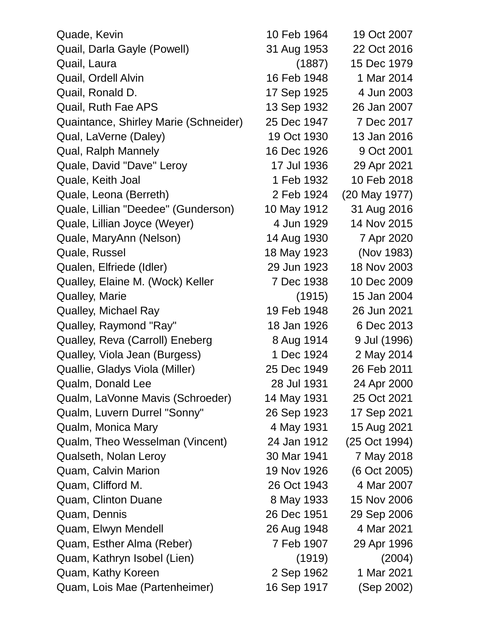| Quade, Kevin                          | 10 Feb 1964 | 19 Oct 2007   |
|---------------------------------------|-------------|---------------|
| Quail, Darla Gayle (Powell)           | 31 Aug 1953 | 22 Oct 2016   |
| Quail, Laura                          | (1887)      | 15 Dec 1979   |
| Quail, Ordell Alvin                   | 16 Feb 1948 | 1 Mar 2014    |
| Quail, Ronald D.                      | 17 Sep 1925 | 4 Jun 2003    |
| Quail, Ruth Fae APS                   | 13 Sep 1932 | 26 Jan 2007   |
| Quaintance, Shirley Marie (Schneider) | 25 Dec 1947 | 7 Dec 2017    |
| Qual, LaVerne (Daley)                 | 19 Oct 1930 | 13 Jan 2016   |
| Qual, Ralph Mannely                   | 16 Dec 1926 | 9 Oct 2001    |
| Quale, David "Dave" Leroy             | 17 Jul 1936 | 29 Apr 2021   |
| Quale, Keith Joal                     | 1 Feb 1932  | 10 Feb 2018   |
| Quale, Leona (Berreth)                | 2 Feb 1924  | (20 May 1977) |
| Quale, Lillian "Deedee" (Gunderson)   | 10 May 1912 | 31 Aug 2016   |
| Quale, Lillian Joyce (Weyer)          | 4 Jun 1929  | 14 Nov 2015   |
| Quale, MaryAnn (Nelson)               | 14 Aug 1930 | 7 Apr 2020    |
| Quale, Russel                         | 18 May 1923 | (Nov 1983)    |
| Qualen, Elfriede (Idler)              | 29 Jun 1923 | 18 Nov 2003   |
| Qualley, Elaine M. (Wock) Keller      | 7 Dec 1938  | 10 Dec 2009   |
| <b>Qualley, Marie</b>                 | (1915)      | 15 Jan 2004   |
| Qualley, Michael Ray                  | 19 Feb 1948 | 26 Jun 2021   |
| Qualley, Raymond "Ray"                | 18 Jan 1926 | 6 Dec 2013    |
| Qualley, Reva (Carroll) Eneberg       | 8 Aug 1914  | 9 Jul (1996)  |
| Qualley, Viola Jean (Burgess)         | 1 Dec 1924  | 2 May 2014    |
| Quallie, Gladys Viola (Miller)        | 25 Dec 1949 | 26 Feb 2011   |
| Qualm, Donald Lee                     | 28 Jul 1931 | 24 Apr 2000   |
| Qualm, LaVonne Mavis (Schroeder)      | 14 May 1931 | 25 Oct 2021   |
| Qualm, Luvern Durrel "Sonny"          | 26 Sep 1923 | 17 Sep 2021   |
| Qualm, Monica Mary                    | 4 May 1931  | 15 Aug 2021   |
| Qualm, Theo Wesselman (Vincent)       | 24 Jan 1912 | (25 Oct 1994) |
| Qualseth, Nolan Leroy                 | 30 Mar 1941 | 7 May 2018    |
| Quam, Calvin Marion                   | 19 Nov 1926 | (6 Oct 2005)  |
| Quam, Clifford M.                     | 26 Oct 1943 | 4 Mar 2007    |
| Quam, Clinton Duane                   | 8 May 1933  | 15 Nov 2006   |
| Quam, Dennis                          | 26 Dec 1951 | 29 Sep 2006   |
| Quam, Elwyn Mendell                   | 26 Aug 1948 | 4 Mar 2021    |
| Quam, Esther Alma (Reber)             | 7 Feb 1907  | 29 Apr 1996   |
| Quam, Kathryn Isobel (Lien)           | (1919)      | (2004)        |
| Quam, Kathy Koreen                    | 2 Sep 1962  | 1 Mar 2021    |
| Quam, Lois Mae (Partenheimer)         | 16 Sep 1917 | (Sep 2002)    |
|                                       |             |               |

| 0 Feb 1964  | 19 Oct 2007   |
|-------------|---------------|
| 31 Aug 1953 | 22 Oct 2016   |
| (1887)      | 15 Dec 1979   |
| 6 Feb 1948  | 1 Mar 2014    |
| 7 Sep 1925  | 4 Jun 2003    |
| 3 Sep 1932  | 26 Jan 2007   |
| 25 Dec 1947 | 7 Dec 2017    |
| 19 Oct 1930 | 13 Jan 2016   |
| 6 Dec 1926  | 9 Oct 2001    |
| 17 Jul 1936 | 29 Apr 2021   |
| 1 Feb 1932  | 10 Feb 2018   |
| 2 Feb 1924  | (20 May 1977) |
| 0 May 1912  | 31 Aug 2016   |
| 4 Jun 1929  | 14 Nov 2015   |
| 14 Aug 1930 | 7 Apr 2020    |
| 8 May 1923  | (Nov 1983)    |
| 29 Jun 1923 | 18 Nov 2003   |
| 7 Dec 1938  | 10 Dec 2009   |
| (1915)      | 15 Jan 2004   |
| 19 Feb 1948 | 26 Jun 2021   |
| 18 Jan 1926 | 6 Dec 2013    |
| 8 Aug 1914  | 9 Jul (1996)  |
| 1 Dec 1924  | 2 May 2014    |
| 25 Dec 1949 | 26 Feb 2011   |
| 28 Jul 1931 | 24 Apr 2000   |
| 4 May 1931  | 25 Oct 2021   |
| 26 Sep 1923 | 17 Sep 2021   |
| 4 May 1931  | 15 Aug 2021   |
| 24 Jan 1912 | (25 Oct 1994) |
| 30 Mar 1941 | 7 May 2018    |
| 9 Nov 1926  | (6 Oct 2005)  |
| 26 Oct 1943 | 4 Mar 2007    |
| 8 May 1933  | 15 Nov 2006   |
| 26 Dec 1951 | 29 Sep 2006   |
| 26 Aug 1948 | 4 Mar 2021    |
| 7 Feb 1907  | 29 Apr 1996   |
| (1919)      | (2004)        |
| 2 Sep 1962  | 1 Mar 2021    |
| 6 Sep 1917  | (Sep 2002)    |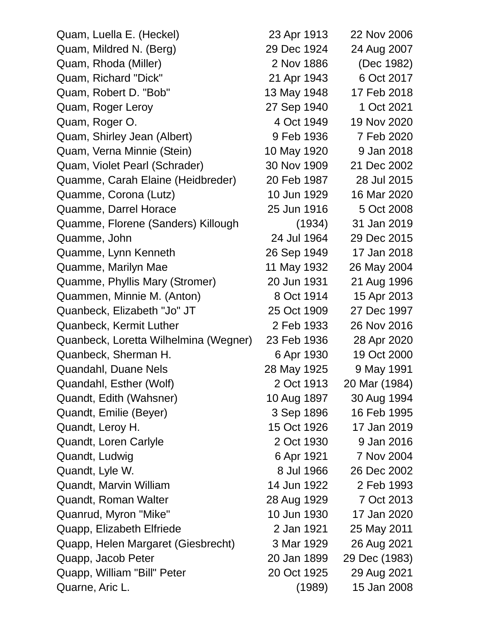Quam, Luella E. (Heckel) 23 Apr 1913 22 Nov 2006 Quam, Mildred N. (Berg) 29 Dec 1924 24 Aug 2007 Quam, Rhoda (Miller) 2 Nov 1886 (Dec 1982) Quam, Richard "Dick" 21 Apr 1943 6 Oct 2017 Quam, Robert D. "Bob" 13 May 1948 17 Feb 2018 Quam, Roger Leroy 27 Sep 1940 1 Oct 2021 Quam, Roger O. 4 Oct 1949 19 Nov 2020 Quam, Shirley Jean (Albert) 9 Feb 1936 7 Feb 2020 Quam, Verna Minnie (Stein) 10 May 1920 9 Jan 2018 Quam, Violet Pearl (Schrader) 30 Nov 1909 21 Dec 2002 Quamme, Carah Elaine (Heidbreder) 20 Feb 1987 28 Jul 2015 Quamme, Corona (Lutz) 10 Jun 1929 16 Mar 2020 Quamme, Darrel Horace 25 Jun 1916 5 Oct 2008 Quamme, Florene (Sanders) Killough (1934) 31 Jan 2019 Quamme, John 24 Jul 1964 29 Dec 2015 Quamme, Lynn Kenneth 26 Sep 1949 17 Jan 2018 Quamme, Marilyn Mae 11 May 1932 26 May 2004 Quamme, Phyllis Mary (Stromer) 20 Jun 1931 21 Aug 1996 Quammen, Minnie M. (Anton) 8 Oct 1914 15 Apr 2013 Quanbeck, Elizabeth "Jo" JT 25 Oct 1909 27 Dec 1997 Quanbeck, Kermit Luther 2 Feb 1933 26 Nov 2016 Quanbeck, Loretta Wilhelmina (Wegner) 23 Feb 1936 28 Apr 2020 Quanbeck, Sherman H. 6 Apr 1930 19 Oct 2000 Quandahl, Duane Nels 28 May 1925 9 May 1991 Quandahl, Esther (Wolf) 2 Oct 1913 20 Mar (1984) Quandt, Edith (Wahsner) 10 Aug 1897 30 Aug 1994 Quandt, Emilie (Beyer) 3 Sep 1896 16 Feb 1995 Quandt, Leroy H. 15 Oct 1926 17 Jan 2019 Quandt, Loren Carlyle 2 Oct 1930 9 Jan 2016 Quandt, Ludwig 6 Apr 1921 7 Nov 2004 Quandt, Lyle W. 8 Jul 1966 26 Dec 2002 Quandt, Marvin William 14 Jun 1922 2 Feb 1993 Quandt, Roman Walter 28 Aug 1929 7 Oct 2013 Quanrud, Myron "Mike" 10 Jun 1930 17 Jan 2020 Quapp, Elizabeth Elfriede 2 Jan 1921 25 May 2011 Quapp, Helen Margaret (Giesbrecht) 3 Mar 1929 26 Aug 2021 Quapp, Jacob Peter 20 Jan 1899 29 Dec (1983) Quapp, William "Bill" Peter 20 Oct 1925 29 Aug 2021 Quarne, Aric L. (1989) 15 Jan 2008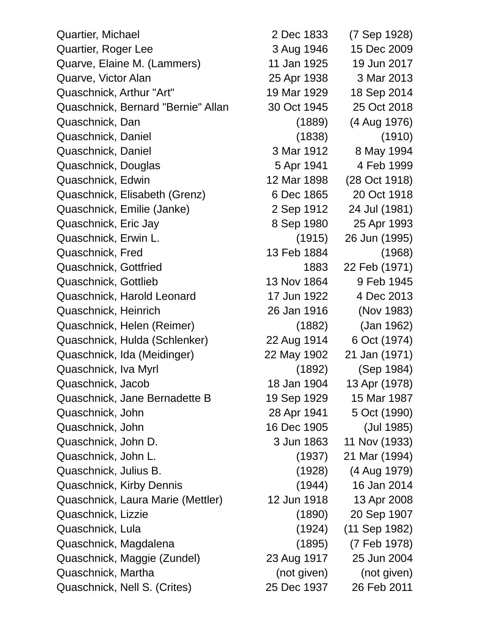Quartier, Michael 2 Dec 1833 (7 Sep 1928) Quartier, Roger Lee 3 Aug 1946 15 Dec 2009 Quarve, Elaine M. (Lammers) 11 Jan 1925 19 Jun 2017 Quarve, Victor Alan 2013 25 Apr 1938 3 Mar 2013 Quaschnick, Arthur "Art" 19 Mar 1929 18 Sep 2014 Quaschnick, Bernard "Bernie" Allan 30 Oct 1945 25 Oct 2018 Quaschnick, Dan (1889) (4 Aug 1976) Quaschnick, Daniel (1838) (1910) Quaschnick, Daniel 3 Mar 1912 8 May 1994 Quaschnick, Douglas 5 Apr 1941 4 Feb 1999 Quaschnick, Edwin 12 Mar 1898 (28 Oct 1918) Quaschnick, Elisabeth (Grenz) 6 Dec 1865 20 Oct 1918 Quaschnick, Emilie (Janke) 2 Sep 1912 24 Jul (1981) Quaschnick, Eric Jay 8 Sep 1980 25 Apr 1993 Quaschnick, Erwin L. (1915) 26 Jun (1995) Quaschnick, Fred 13 Feb 1884 (1968) Quaschnick, Gottfried 1883 22 Feb (1971) Quaschnick, Gottlieb 13 Nov 1864 9 Feb 1945 Quaschnick, Harold Leonard 17 Jun 1922 4 Dec 2013 Quaschnick, Heinrich 26 Jan 1916 (Nov 1983) Quaschnick, Helen (Reimer) (1882) (Jan 1962) Quaschnick, Hulda (Schlenker) 22 Aug 1914 6 Oct (1974) Quaschnick, Ida (Meidinger) 22 May 1902 21 Jan (1971) Quaschnick, Iva Myrl (1892) (Sep 1984) Quaschnick, Jacob 18 Jan 1904 13 Apr (1978) Quaschnick, Jane Bernadette B 19 Sep 1929 15 Mar 1987 Quaschnick, John 28 Apr 1941 5 Oct (1990) Quaschnick, John 16 Dec 1905 (Jul 1985) Quaschnick, John D. 3 Jun 1863 11 Nov (1933) Quaschnick, John L. (1937) 21 Mar (1994) Quaschnick, Julius B. (1928) (4 Aug 1979) Quaschnick, Kirby Dennis (1944) 16 Jan 2014 Quaschnick, Laura Marie (Mettler) 12 Jun 1918 13 Apr 2008 Quaschnick, Lizzie (1890) 20 Sep 1907 Quaschnick, Lula (1924) (11 Sep 1982) Quaschnick, Magdalena (1895) (7 Feb 1978) Quaschnick, Maggie (Zundel) 23 Aug 1917 25 Jun 2004 Quaschnick, Martha (not given) (not given) (not given) Quaschnick, Nell S. (Crites) 25 Dec 1937 26 Feb 2011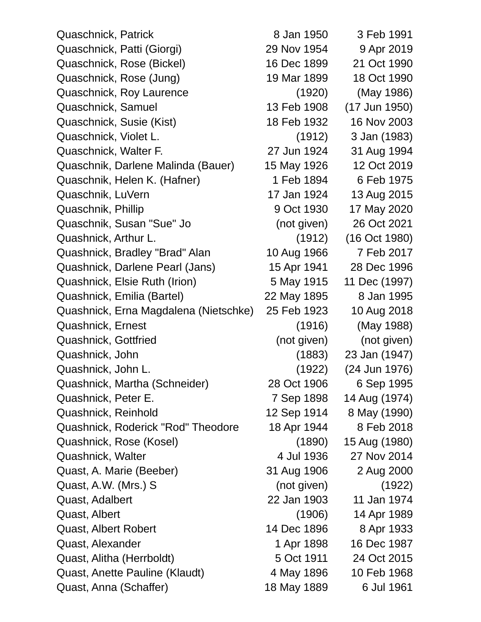Quaschnick, Patrick **8 Jan 1950** 3 Feb 1991 Quaschnick, Patti (Giorgi) 29 Nov 1954 9 Apr 2019 Quaschnick, Rose (Bickel) 16 Dec 1899 21 Oct 1990 Quaschnick, Rose (Jung) 19 Mar 1899 18 Oct 1990 Quaschnick, Roy Laurence (1920) (May 1986) Quaschnick, Samuel 13 Feb 1908 (17 Jun 1950) Quaschnick, Susie (Kist) 18 Feb 1932 16 Nov 2003 Quaschnick, Violet L. (1912) 3 Jan (1983) Quaschnick, Walter F. 27 Jun 1924 31 Aug 1994 Quaschnik, Darlene Malinda (Bauer) 15 May 1926 12 Oct 2019 Quaschnik, Helen K. (Hafner) 1 Feb 1894 6 Feb 1975 Quaschnik, LuVern 17 Jan 1924 13 Aug 2015 Quaschnik, Phillip 9 Oct 1930 17 May 2020 Quaschnik, Susan "Sue" Jo (not given) 26 Oct 2021 Quashnick, Arthur L. (1912) (16 Oct 1980) Quashnick, Bradley "Brad" Alan 10 Aug 1966 7 Feb 2017 Quashnick, Darlene Pearl (Jans) 15 Apr 1941 28 Dec 1996 Quashnick, Elsie Ruth (Irion) 5 May 1915 11 Dec (1997) Quashnick, Emilia (Bartel) 22 May 1895 8 Jan 1995 Quashnick, Erna Magdalena (Nietschke) 25 Feb 1923 10 Aug 2018 Quashnick, Ernest (1916) (May 1988) Quashnick, Gottfried (not given) (not given) Quashnick, John (1883) 23 Jan (1947) Quashnick, John L. (1922) (24 Jun 1976) Quashnick, Martha (Schneider) 28 Oct 1906 6 Sep 1995 Quashnick, Peter E. 7 Sep 1898 14 Aug (1974) Quashnick, Reinhold 12 Sep 1914 8 May (1990) Quashnick, Roderick "Rod" Theodore 18 Apr 1944 8 Feb 2018 Quashnick, Rose (Kosel) (1890) 15 Aug (1980) Quashnick, Walter **4 Jul 1936** 27 Nov 2014 Quast, A. Marie (Beeber) 31 Aug 1906 2 Aug 2000 Quast, A.W. (Mrs.) S (not given) (1922) Quast, Adalbert 22 Jan 1903 11 Jan 1974 Quast, Albert (1906) 14 Apr 1989 Quast, Albert Robert 14 Dec 1896 8 Apr 1933 Quast, Alexander 1 Apr 1898 16 Dec 1987 Quast, Alitha (Herrboldt) 5 Oct 1911 24 Oct 2015 Quast, Anette Pauline (Klaudt) 4 May 1896 10 Feb 1968 Quast, Anna (Schaffer) 18 May 1889 6 Jul 1961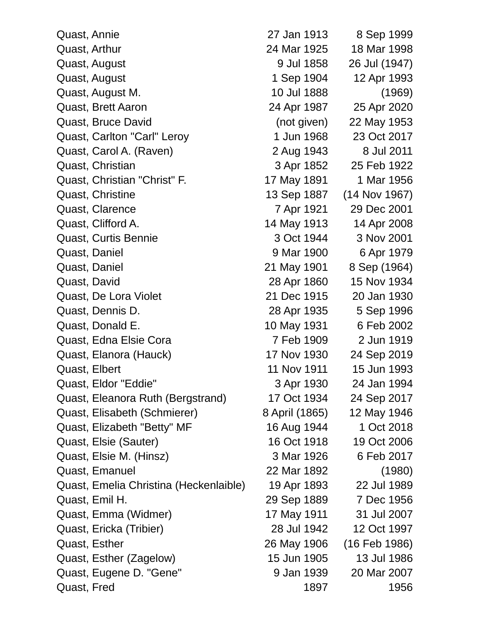| Quast, Annie                           | 27 Jan 1913    | 8 Sep 1999      |
|----------------------------------------|----------------|-----------------|
| Quast, Arthur                          | 24 Mar 1925    | 18 Mar 1998     |
| Quast, August                          | 9 Jul 1858     | 26 Jul (1947)   |
| Quast, August                          | 1 Sep 1904     | 12 Apr 1993     |
| Quast, August M.                       | 10 Jul 1888    | (1969)          |
| Quast, Brett Aaron                     | 24 Apr 1987    | 25 Apr 2020     |
| Quast, Bruce David                     | (not given)    | 22 May 1953     |
| Quast, Carlton "Carl" Leroy            | 1 Jun 1968     | 23 Oct 2017     |
| Quast, Carol A. (Raven)                | 2 Aug 1943     | 8 Jul 2011      |
| Quast, Christian                       | 3 Apr 1852     | 25 Feb 1922     |
| Quast, Christian "Christ" F.           | 17 May 1891    | 1 Mar 1956      |
| Quast, Christine                       | 13 Sep 1887    | $(14$ Nov 1967) |
| Quast, Clarence                        | 7 Apr 1921     | 29 Dec 2001     |
| Quast, Clifford A.                     | 14 May 1913    | 14 Apr 2008     |
| Quast, Curtis Bennie                   | 3 Oct 1944     | 3 Nov 2001      |
| Quast, Daniel                          | 9 Mar 1900     | 6 Apr 1979      |
| Quast, Daniel                          | 21 May 1901    | 8 Sep (1964)    |
| Quast, David                           | 28 Apr 1860    | 15 Nov 1934     |
| Quast, De Lora Violet                  | 21 Dec 1915    | 20 Jan 1930     |
| Quast, Dennis D.                       | 28 Apr 1935    | 5 Sep 1996      |
| Quast, Donald E.                       | 10 May 1931    | 6 Feb 2002      |
| Quast, Edna Elsie Cora                 | 7 Feb 1909     | 2 Jun 1919      |
| Quast, Elanora (Hauck)                 | 17 Nov 1930    | 24 Sep 2019     |
| Quast, Elbert                          | 11 Nov 1911    | 15 Jun 1993     |
| Quast, Eldor "Eddie"                   | 3 Apr 1930     | 24 Jan 1994     |
| Quast, Eleanora Ruth (Bergstrand)      | 17 Oct 1934    | 24 Sep 2017     |
| Quast, Elisabeth (Schmierer)           | 8 April (1865) | 12 May 1946     |
| Quast, Elizabeth "Betty" MF            | 16 Aug 1944    | 1 Oct 2018      |
| Quast, Elsie (Sauter)                  | 16 Oct 1918    | 19 Oct 2006     |
| Quast, Elsie M. (Hinsz)                | 3 Mar 1926     | 6 Feb 2017      |
| Quast, Emanuel                         | 22 Mar 1892    | (1980)          |
| Quast, Emelia Christina (Heckenlaible) | 19 Apr 1893    | 22 Jul 1989     |
| Quast, Emil H.                         | 29 Sep 1889    | 7 Dec 1956      |
| Quast, Emma (Widmer)                   | 17 May 1911    | 31 Jul 2007     |
| Quast, Ericka (Tribier)                | 28 Jul 1942    | 12 Oct 1997     |
| Quast, Esther                          | 26 May 1906    | (16 Feb 1986)   |
| Quast, Esther (Zagelow)                | 15 Jun 1905    | 13 Jul 1986     |
| Quast, Eugene D. "Gene"                | 9 Jan 1939     | 20 Mar 2007     |
| Quast, Fred                            | 1897           | 1956            |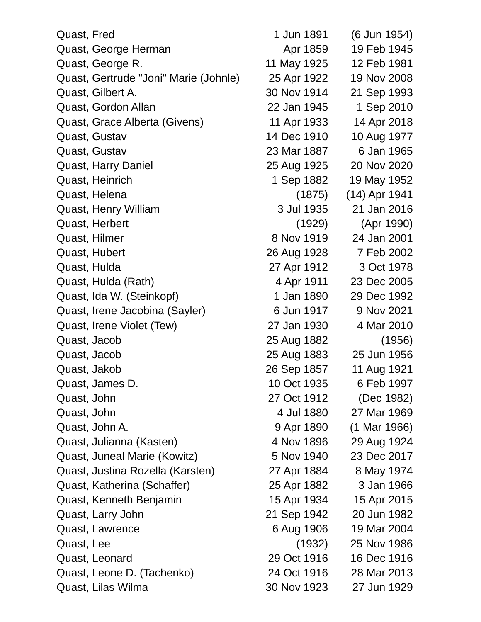| Quast, Fred |                                       | 1 Jun 1891  | (6 Jun 1954)  |
|-------------|---------------------------------------|-------------|---------------|
|             | Quast, George Herman                  | Apr 1859    | 19 Feb 1945   |
|             | Quast, George R.                      | 11 May 1925 | 12 Feb 1981   |
|             | Quast, Gertrude "Joni" Marie (Johnle) | 25 Apr 1922 | 19 Nov 2008   |
|             | Quast, Gilbert A.                     | 30 Nov 1914 | 21 Sep 1993   |
|             | Quast, Gordon Allan                   | 22 Jan 1945 | 1 Sep 2010    |
|             | Quast, Grace Alberta (Givens)         | 11 Apr 1933 | 14 Apr 2018   |
|             | Quast, Gustav                         | 14 Dec 1910 | 10 Aug 1977   |
|             | Quast, Gustav                         | 23 Mar 1887 | 6 Jan 1965    |
|             | <b>Quast, Harry Daniel</b>            | 25 Aug 1925 | 20 Nov 2020   |
|             | Quast, Heinrich                       | 1 Sep 1882  | 19 May 1952   |
|             | Quast, Helena                         | (1875)      | (14) Apr 1941 |
|             | Quast, Henry William                  | 3 Jul 1935  | 21 Jan 2016   |
|             | Quast, Herbert                        | (1929)      | (Apr 1990)    |
|             | Quast, Hilmer                         | 8 Nov 1919  | 24 Jan 2001   |
|             | Quast, Hubert                         | 26 Aug 1928 | 7 Feb 2002    |
|             | Quast, Hulda                          | 27 Apr 1912 | 3 Oct 1978    |
|             | Quast, Hulda (Rath)                   | 4 Apr 1911  | 23 Dec 2005   |
|             | Quast, Ida W. (Steinkopf)             | 1 Jan 1890  | 29 Dec 1992   |
|             | Quast, Irene Jacobina (Sayler)        | 6 Jun 1917  | 9 Nov 2021    |
|             | Quast, Irene Violet (Tew)             | 27 Jan 1930 | 4 Mar 2010    |
|             | Quast, Jacob                          | 25 Aug 1882 | (1956)        |
|             | Quast, Jacob                          | 25 Aug 1883 | 25 Jun 1956   |
|             | Quast, Jakob                          | 26 Sep 1857 | 11 Aug 1921   |
|             | Quast, James D.                       | 10 Oct 1935 | 6 Feb 1997    |
| Quast, John |                                       | 27 Oct 1912 | (Dec 1982)    |
| Quast, John |                                       | 4 Jul 1880  | 27 Mar 1969   |
|             | Quast, John A.                        | 9 Apr 1890  | (1 Mar 1966)  |
|             | Quast, Julianna (Kasten)              | 4 Nov 1896  | 29 Aug 1924   |
|             | Quast, Juneal Marie (Kowitz)          | 5 Nov 1940  | 23 Dec 2017   |
|             | Quast, Justina Rozella (Karsten)      | 27 Apr 1884 | 8 May 1974    |
|             | Quast, Katherina (Schaffer)           | 25 Apr 1882 | 3 Jan 1966    |
|             | Quast, Kenneth Benjamin               | 15 Apr 1934 | 15 Apr 2015   |
|             | Quast, Larry John                     | 21 Sep 1942 | 20 Jun 1982   |
|             | Quast, Lawrence                       | 6 Aug 1906  | 19 Mar 2004   |
| Quast, Lee  |                                       | (1932)      | 25 Nov 1986   |
|             | Quast, Leonard                        | 29 Oct 1916 | 16 Dec 1916   |
|             | Quast, Leone D. (Tachenko)            | 24 Oct 1916 | 28 Mar 2013   |
|             | Quast, Lilas Wilma                    | 30 Nov 1923 | 27 Jun 1929   |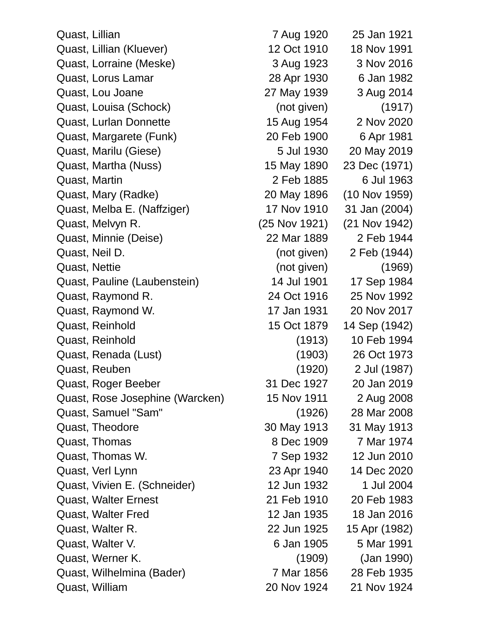Quast, Lillian 7 Aug 1920 25 Jan 1921 Quast, Lillian (Kluever) 12 Oct 1910 18 Nov 1991 Quast, Lorraine (Meske) 3 Aug 1923 3 Nov 2016 Quast, Lorus Lamar 28 Apr 1930 6 Jan 1982 Quast, Lou Joane 27 May 1939 3 Aug 2014 Quast, Louisa (Schock) (not given) (1917) Quast, Lurlan Donnette 15 Aug 1954 2 Nov 2020 Quast, Margarete (Funk) 20 Feb 1900 6 Apr 1981 Quast, Marilu (Giese) 5 Jul 1930 20 May 2019 Quast, Martha (Nuss) 15 May 1890 23 Dec (1971) Quast, Martin 2 Feb 1885 6 Jul 1963 Quast, Mary (Radke) 20 May 1896 (10 Nov 1959) Quast, Melba E. (Naffziger) 17 Nov 1910 31 Jan (2004) Quast, Melvyn R. (25 Nov 1921) (21 Nov 1942) Quast, Minnie (Deise) 22 Mar 1889 2 Feb 1944 Quast, Neil D. (not given) 2 Feb (1944) Quast, Nettie (not given) (1969) Quast, Pauline (Laubenstein) 14 Jul 1901 17 Sep 1984 Quast, Raymond R. 24 Oct 1916 25 Nov 1992 Quast, Raymond W. 17 Jan 1931 20 Nov 2017 Quast, Reinhold 15 Oct 1879 14 Sep (1942) Quast, Reinhold (1913) 10 Feb 1994 Quast, Renada (Lust) (1903) 26 Oct 1973 Quast, Reuben (1920) 2 Jul (1987) Quast, Roger Beeber 31 Dec 1927 20 Jan 2019 Quast, Rose Josephine (Warcken) 15 Nov 1911 2 Aug 2008 Quast, Samuel "Sam" (1926) 28 Mar 2008 Quast, Theodore 30 May 1913 31 May 1913 Quast, Thomas 8 Dec 1909 7 Mar 1974 Quast, Thomas W. 2010 7 Sep 1932 12 Jun 2010 Quast, Verl Lynn 23 Apr 1940 14 Dec 2020 Quast, Vivien E. (Schneider) 12 Jun 1932 1 Jul 2004 Quast, Walter Ernest 21 Feb 1910 20 Feb 1983 Quast, Walter Fred 12 Jan 1935 18 Jan 2016 Quast, Walter R. 22 Jun 1925 15 Apr (1982) Quast, Walter V. 6 Jan 1905 5 Mar 1991 Quast, Werner K. (1909) (Jan 1990) Quast, Wilhelmina (Bader) 7 Mar 1856 28 Feb 1935 Quast, William 20 Nov 1924 21 Nov 1924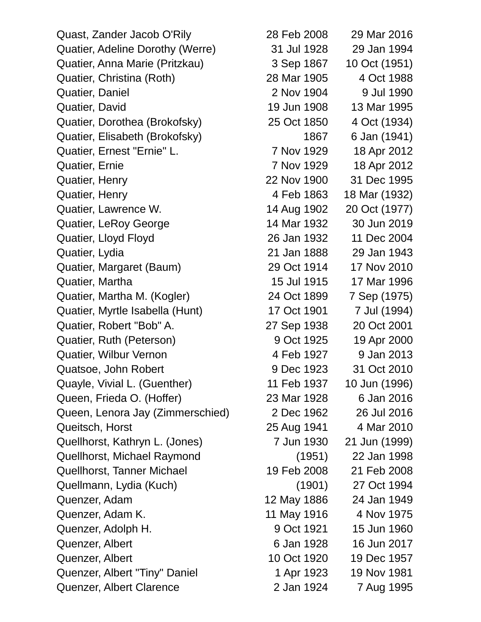Quast, Zander Jacob O'Rily 28 Feb 2008 29 Mar 2016 Quatier, Adeline Dorothy (Werre) 31 Jul 1928 29 Jan 1994 Quatier, Anna Marie (Pritzkau) 3 Sep 1867 10 Oct (1951) Quatier, Christina (Roth) 28 Mar 1905 4 Oct 1988 Quatier, Daniel 2 Nov 1904 9 Jul 1990 Quatier, David 19 Jun 1908 13 Mar 1995 Quatier, Dorothea (Brokofsky) 25 Oct 1850 4 Oct (1934) Quatier, Elisabeth (Brokofsky) 1867 6 Jan (1941) Quatier, Ernest "Ernie" L. 7 Nov 1929 18 Apr 2012 Quatier, Ernie 7 Nov 1929 18 Apr 2012 Quatier, Henry 22 Nov 1900 31 Dec 1995 Quatier, Henry 4 Feb 1863 18 Mar (1932) Quatier, Lawrence W. 14 Aug 1902 20 Oct (1977) Quatier, LeRoy George 14 Mar 1932 30 Jun 2019 Quatier, Lloyd Floyd 26 Jan 1932 11 Dec 2004 Quatier, Lydia 21 Jan 1888 29 Jan 1943 Quatier, Margaret (Baum) 29 Oct 1914 17 Nov 2010 Quatier, Martha 15 Jul 1915 17 Mar 1996 Quatier, Martha M. (Kogler) 24 Oct 1899 7 Sep (1975) Quatier, Myrtle Isabella (Hunt) 17 Oct 1901 7 Jul (1994) Quatier, Robert "Bob" A. 27 Sep 1938 20 Oct 2001 Quatier, Ruth (Peterson) 9 Oct 1925 19 Apr 2000 Quatier, Wilbur Vernon 1998 1927 9 Jan 2013 Quatsoe, John Robert 9 Dec 1923 31 Oct 2010 Quayle, Vivial L. (Guenther) 11 Feb 1937 10 Jun (1996) Queen, Frieda O. (Hoffer) 23 Mar 1928 6 Jan 2016 Queen, Lenora Jay (Zimmerschied) 2 Dec 1962 26 Jul 2016 Queitsch, Horst 25 Aug 1941 4 Mar 2010 Quellhorst, Kathryn L. (Jones) 7 Jun 1930 21 Jun (1999) Quellhorst, Michael Raymond (1951) 22 Jan 1998 Quellhorst, Tanner Michael 19 Feb 2008 21 Feb 2008 Quellmann, Lydia (Kuch) (1901) 27 Oct 1994 Quenzer, Adam 12 May 1886 24 Jan 1949 Quenzer, Adam K. 11 May 1916 4 Nov 1975 Quenzer, Adolph H. 9 Oct 1921 15 Jun 1960 Quenzer, Albert 6 Jan 1928 16 Jun 2017 Quenzer, Albert 10 Oct 1920 19 Dec 1957 Quenzer, Albert "Tiny" Daniel 1 Apr 1923 19 Nov 1981 Quenzer, Albert Clarence 2 Jan 1924 7 Aug 1995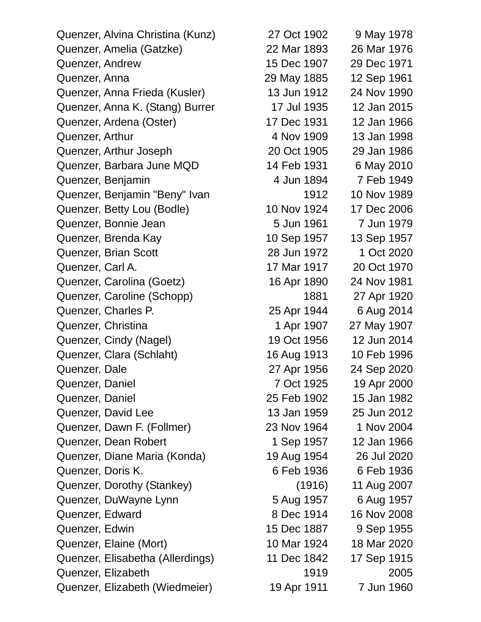Quenzer, Alvina Christina (Kunz) 27 Oct 1902 9 May 1978 Quenzer, Amelia (Gatzke) 22 Mar 1893 26 Mar 1976 Quenzer, Andrew 15 Dec 1907 29 Dec 1971 Quenzer, Anna 29 May 1885 12 Sep 1961 Quenzer, Anna Frieda (Kusler) 13 Jun 1912 24 Nov 1990 Quenzer, Anna K. (Stang) Burrer 17 Jul 1935 12 Jan 2015 Quenzer, Ardena (Oster) 17 Dec 1931 12 Jan 1966 Quenzer, Arthur 1998 **13** Jan 1998 Quenzer, Arthur Joseph 20 Oct 1905 29 Jan 1986 Quenzer, Barbara June MQD 14 Feb 1931 6 May 2010 Quenzer, Benjamin 1894 7 Feb 1949 Quenzer, Benjamin "Beny" Ivan 1912 10 Nov 1989 Quenzer, Betty Lou (Bodle) 10 Nov 1924 17 Dec 2006 Quenzer, Bonnie Jean 5 Jun 1961 7 Jun 1979 Quenzer, Brenda Kay 10 Sep 1957 13 Sep 1957 Quenzer, Brian Scott 2020 28 Jun 1972 1 Oct 2020 Quenzer, Carl A. 17 Mar 1917 20 Oct 1970 Quenzer, Carolina (Goetz) 16 Apr 1890 24 Nov 1981 Quenzer, Caroline (Schopp) 1881 27 Apr 1920 Quenzer, Charles P. 25 Apr 1944 6 Aug 2014 Quenzer, Christina 1 Apr 1907 27 May 1907 Quenzer, Cindy (Nagel) 19 Oct 1956 12 Jun 2014 Quenzer, Clara (Schlaht) 16 Aug 1913 10 Feb 1996 Quenzer, Dale 27 Apr 1956 24 Sep 2020 Quenzer, Daniel 7 Oct 1925 19 Apr 2000 Quenzer, Daniel 25 Feb 1902 15 Jan 1982 Quenzer, David Lee 13 Jan 1959 25 Jun 2012 Quenzer, Dawn F. (Follmer) 23 Nov 1964 1 Nov 2004 Quenzer, Dean Robert 1 Sep 1957 12 Jan 1966 Quenzer, Diane Maria (Konda) 19 Aug 1954 26 Jul 2020 Quenzer, Doris K. 6 Feb 1936 6 Feb 1936 Quenzer, Dorothy (Stankey) (1916) 11 Aug 2007 Quenzer, DuWayne Lynn 5 Aug 1957 6 Aug 1957 Quenzer, Edward 8 Dec 1914 16 Nov 2008 Quenzer, Edwin 15 Dec 1887 9 Sep 1955 Quenzer, Elaine (Mort) 10 Mar 1924 18 Mar 2020 Quenzer, Elisabetha (Allerdings) 11 Dec 1842 17 Sep 1915 Quenzer, Elizabeth 1919 2005

Quenzer, Elizabeth (Wiedmeier) 19 Apr 1911 7 Jun 1960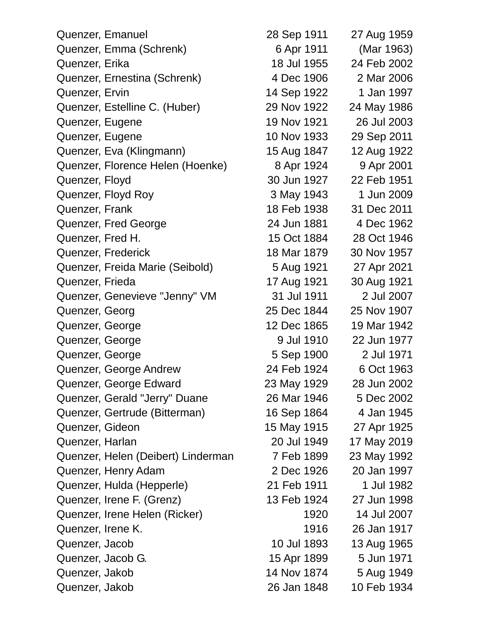| Quenzer, Emanuel                   | 28 Sep 1911 | 27 Aug 1959 |
|------------------------------------|-------------|-------------|
| Quenzer, Emma (Schrenk)            | 6 Apr 1911  | (Mar 1963)  |
| Quenzer, Erika                     | 18 Jul 1955 | 24 Feb 2002 |
| Quenzer, Ernestina (Schrenk)       | 4 Dec 1906  | 2 Mar 2006  |
| Quenzer, Ervin                     | 14 Sep 1922 | 1 Jan 1997  |
| Quenzer, Estelline C. (Huber)      | 29 Nov 1922 | 24 May 1986 |
| Quenzer, Eugene                    | 19 Nov 1921 | 26 Jul 2003 |
| Quenzer, Eugene                    | 10 Nov 1933 | 29 Sep 2011 |
| Quenzer, Eva (Klingmann)           | 15 Aug 1847 | 12 Aug 1922 |
| Quenzer, Florence Helen (Hoenke)   | 8 Apr 1924  | 9 Apr 2001  |
| Quenzer, Floyd                     | 30 Jun 1927 | 22 Feb 1951 |
| Quenzer, Floyd Roy                 | 3 May 1943  | 1 Jun 2009  |
| Quenzer, Frank                     | 18 Feb 1938 | 31 Dec 2011 |
| Quenzer, Fred George               | 24 Jun 1881 | 4 Dec 1962  |
| Quenzer, Fred H.                   | 15 Oct 1884 | 28 Oct 1946 |
| Quenzer, Frederick                 | 18 Mar 1879 | 30 Nov 1957 |
| Quenzer, Freida Marie (Seibold)    | 5 Aug 1921  | 27 Apr 2021 |
| Quenzer, Frieda                    | 17 Aug 1921 | 30 Aug 1921 |
| Quenzer, Genevieve "Jenny" VM      | 31 Jul 1911 | 2 Jul 2007  |
| Quenzer, Georg                     | 25 Dec 1844 | 25 Nov 1907 |
| Quenzer, George                    | 12 Dec 1865 | 19 Mar 1942 |
| Quenzer, George                    | 9 Jul 1910  | 22 Jun 1977 |
| Quenzer, George                    | 5 Sep 1900  | 2 Jul 1971  |
| Quenzer, George Andrew             | 24 Feb 1924 | 6 Oct 1963  |
| Quenzer, George Edward             | 23 May 1929 | 28 Jun 2002 |
| Quenzer, Gerald "Jerry" Duane      | 26 Mar 1946 | 5 Dec 2002  |
| Quenzer, Gertrude (Bitterman)      | 16 Sep 1864 | 4 Jan 1945  |
| Quenzer, Gideon                    | 15 May 1915 | 27 Apr 1925 |
| Quenzer, Harlan                    | 20 Jul 1949 | 17 May 2019 |
| Quenzer, Helen (Deibert) Linderman | 7 Feb 1899  | 23 May 1992 |
| Quenzer, Henry Adam                | 2 Dec 1926  | 20 Jan 1997 |
| Quenzer, Hulda (Hepperle)          | 21 Feb 1911 | 1 Jul 1982  |
| Quenzer, Irene F. (Grenz)          | 13 Feb 1924 | 27 Jun 1998 |
| Quenzer, Irene Helen (Ricker)      | 1920        | 14 Jul 2007 |
| Quenzer, Irene K.                  | 1916        | 26 Jan 1917 |
| Quenzer, Jacob                     | 10 Jul 1893 | 13 Aug 1965 |
| Quenzer, Jacob G.                  | 15 Apr 1899 | 5 Jun 1971  |
| Quenzer, Jakob                     | 14 Nov 1874 | 5 Aug 1949  |
| Quenzer, Jakob                     | 26 Jan 1848 | 10 Feb 1934 |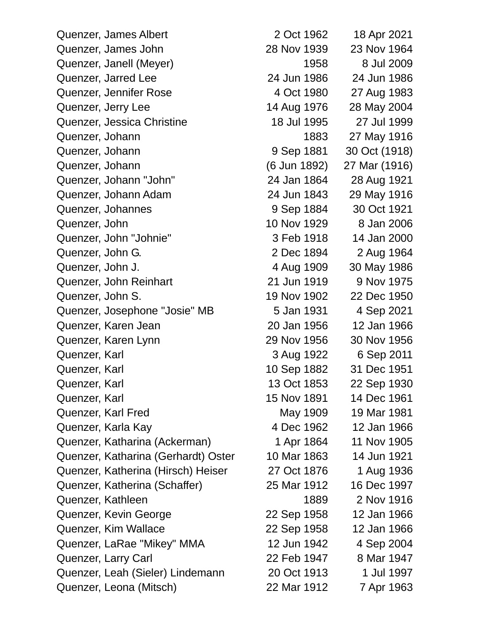| Quenzer, James Albert               | 2 Oct 1962   | 18 Apr 2021   |
|-------------------------------------|--------------|---------------|
| Quenzer, James John                 | 28 Nov 1939  | 23 Nov 1964   |
| Quenzer, Janell (Meyer)             | 1958         | 8 Jul 2009    |
| Quenzer, Jarred Lee                 | 24 Jun 1986  | 24 Jun 1986   |
| Quenzer, Jennifer Rose              | 4 Oct 1980   | 27 Aug 1983   |
| Quenzer, Jerry Lee                  | 14 Aug 1976  | 28 May 2004   |
| Quenzer, Jessica Christine          | 18 Jul 1995  | 27 Jul 1999   |
| Quenzer, Johann                     | 1883         | 27 May 1916   |
| Quenzer, Johann                     | 9 Sep 1881   | 30 Oct (1918) |
| Quenzer, Johann                     | (6 Jun 1892) | 27 Mar (1916) |
| Quenzer, Johann "John"              | 24 Jan 1864  | 28 Aug 1921   |
| Quenzer, Johann Adam                | 24 Jun 1843  | 29 May 1916   |
| Quenzer, Johannes                   | 9 Sep 1884   | 30 Oct 1921   |
| Quenzer, John                       | 10 Nov 1929  | 8 Jan 2006    |
| Quenzer, John "Johnie"              | 3 Feb 1918   | 14 Jan 2000   |
| Quenzer, John G.                    | 2 Dec 1894   | 2 Aug 1964    |
| Quenzer, John J.                    | 4 Aug 1909   | 30 May 1986   |
| Quenzer, John Reinhart              | 21 Jun 1919  | 9 Nov 1975    |
| Quenzer, John S.                    | 19 Nov 1902  | 22 Dec 1950   |
| Quenzer, Josephone "Josie" MB       | 5 Jan 1931   | 4 Sep 2021    |
| Quenzer, Karen Jean                 | 20 Jan 1956  | 12 Jan 1966   |
| Quenzer, Karen Lynn                 | 29 Nov 1956  | 30 Nov 1956   |
| Quenzer, Karl                       | 3 Aug 1922   | 6 Sep 2011    |
| Quenzer, Karl                       | 10 Sep 1882  | 31 Dec 1951   |
| Quenzer, Karl                       | 13 Oct 1853  | 22 Sep 1930   |
| Quenzer, Karl                       | 15 Nov 1891  | 14 Dec 1961   |
| Quenzer, Karl Fred                  | May 1909     | 19 Mar 1981   |
| Quenzer, Karla Kay                  | 4 Dec 1962   | 12 Jan 1966   |
| Quenzer, Katharina (Ackerman)       | 1 Apr 1864   | 11 Nov 1905   |
| Quenzer, Katharina (Gerhardt) Oster | 10 Mar 1863  | 14 Jun 1921   |
| Quenzer, Katherina (Hirsch) Heiser  | 27 Oct 1876  | 1 Aug 1936    |
| Quenzer, Katherina (Schaffer)       | 25 Mar 1912  | 16 Dec 1997   |
| Quenzer, Kathleen                   | 1889         | 2 Nov 1916    |
| Quenzer, Kevin George               | 22 Sep 1958  | 12 Jan 1966   |
| Quenzer, Kim Wallace                | 22 Sep 1958  | 12 Jan 1966   |
| Quenzer, LaRae "Mikey" MMA          | 12 Jun 1942  | 4 Sep 2004    |
| Quenzer, Larry Carl                 | 22 Feb 1947  | 8 Mar 1947    |
| Quenzer, Leah (Sieler) Lindemann    | 20 Oct 1913  | 1 Jul 1997    |
| Quenzer, Leona (Mitsch)             | 22 Mar 1912  | 7 Apr 1963    |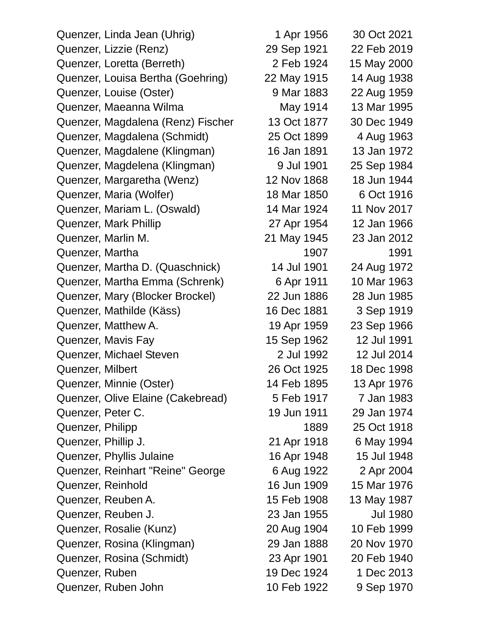| Quenzer, Linda Jean (Uhrig)       | 1 Apr 1956  | 30 Oct 2021     |
|-----------------------------------|-------------|-----------------|
| Quenzer, Lizzie (Renz)            | 29 Sep 1921 | 22 Feb 2019     |
| Quenzer, Loretta (Berreth)        | 2 Feb 1924  | 15 May 2000     |
| Quenzer, Louisa Bertha (Goehring) | 22 May 1915 | 14 Aug 1938     |
| Quenzer, Louise (Oster)           | 9 Mar 1883  | 22 Aug 1959     |
| Quenzer, Maeanna Wilma            | May 1914    | 13 Mar 1995     |
| Quenzer, Magdalena (Renz) Fischer | 13 Oct 1877 | 30 Dec 1949     |
| Quenzer, Magdalena (Schmidt)      | 25 Oct 1899 | 4 Aug 1963      |
| Quenzer, Magdalene (Klingman)     | 16 Jan 1891 | 13 Jan 1972     |
| Quenzer, Magdelena (Klingman)     | 9 Jul 1901  | 25 Sep 1984     |
| Quenzer, Margaretha (Wenz)        | 12 Nov 1868 | 18 Jun 1944     |
| Quenzer, Maria (Wolfer)           | 18 Mar 1850 | 6 Oct 1916      |
| Quenzer, Mariam L. (Oswald)       | 14 Mar 1924 | 11 Nov 2017     |
| Quenzer, Mark Phillip             | 27 Apr 1954 | 12 Jan 1966     |
| Quenzer, Marlin M.                | 21 May 1945 | 23 Jan 2012     |
| Quenzer, Martha                   | 1907        | 1991            |
| Quenzer, Martha D. (Quaschnick)   | 14 Jul 1901 | 24 Aug 1972     |
| Quenzer, Martha Emma (Schrenk)    | 6 Apr 1911  | 10 Mar 1963     |
| Quenzer, Mary (Blocker Brockel)   | 22 Jun 1886 | 28 Jun 1985     |
| Quenzer, Mathilde (Käss)          | 16 Dec 1881 | 3 Sep 1919      |
| Quenzer, Matthew A.               | 19 Apr 1959 | 23 Sep 1966     |
| Quenzer, Mavis Fay                | 15 Sep 1962 | 12 Jul 1991     |
| Quenzer, Michael Steven           | 2 Jul 1992  | 12 Jul 2014     |
| Quenzer, Milbert                  | 26 Oct 1925 | 18 Dec 1998     |
| Quenzer, Minnie (Oster)           | 14 Feb 1895 | 13 Apr 1976     |
| Quenzer, Olive Elaine (Cakebread) | 5 Feb 1917  | 7 Jan 1983      |
| Quenzer, Peter C.                 | 19 Jun 1911 | 29 Jan 1974     |
| Quenzer, Philipp                  | 1889        | 25 Oct 1918     |
| Quenzer, Phillip J.               | 21 Apr 1918 | 6 May 1994      |
| Quenzer, Phyllis Julaine          | 16 Apr 1948 | 15 Jul 1948     |
| Quenzer, Reinhart "Reine" George  | 6 Aug 1922  | 2 Apr 2004      |
| Quenzer, Reinhold                 | 16 Jun 1909 | 15 Mar 1976     |
| Quenzer, Reuben A.                | 15 Feb 1908 | 13 May 1987     |
| Quenzer, Reuben J.                | 23 Jan 1955 | <b>Jul 1980</b> |
| Quenzer, Rosalie (Kunz)           | 20 Aug 1904 | 10 Feb 1999     |
| Quenzer, Rosina (Klingman)        | 29 Jan 1888 | 20 Nov 1970     |
| Quenzer, Rosina (Schmidt)         | 23 Apr 1901 | 20 Feb 1940     |
| Quenzer, Ruben                    | 19 Dec 1924 | 1 Dec 2013      |
| Quenzer, Ruben John               | 10 Feb 1922 | 9 Sep 1970      |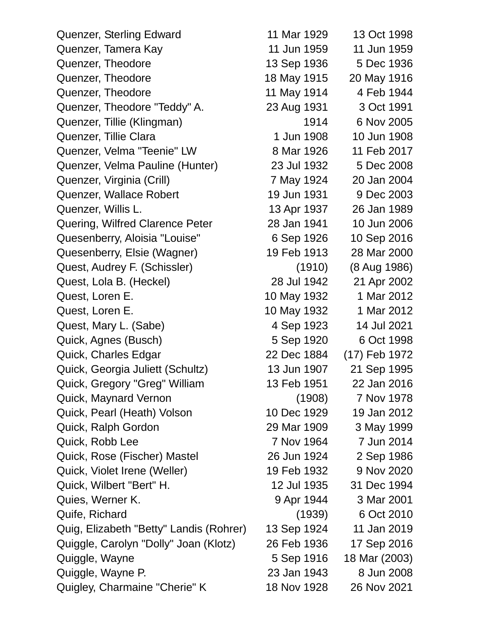| Quenzer, Sterling Edward                | 11 Mar 1929 | 13 Oct 1998   |
|-----------------------------------------|-------------|---------------|
| Quenzer, Tamera Kay                     | 11 Jun 1959 | 11 Jun 1959   |
| Quenzer, Theodore                       | 13 Sep 1936 | 5 Dec 1936    |
| Quenzer, Theodore                       | 18 May 1915 | 20 May 1916   |
| Quenzer, Theodore                       | 11 May 1914 | 4 Feb 1944    |
| Quenzer, Theodore "Teddy" A.            | 23 Aug 1931 | 3 Oct 1991    |
| Quenzer, Tillie (Klingman)              | 1914        | 6 Nov 2005    |
| Quenzer, Tillie Clara                   | 1 Jun 1908  | 10 Jun 1908   |
| Quenzer, Velma "Teenie" LW              | 8 Mar 1926  | 11 Feb 2017   |
| Quenzer, Velma Pauline (Hunter)         | 23 Jul 1932 | 5 Dec 2008    |
| Quenzer, Virginia (Crill)               | 7 May 1924  | 20 Jan 2004   |
| Quenzer, Wallace Robert                 | 19 Jun 1931 | 9 Dec 2003    |
| Quenzer, Willis L.                      | 13 Apr 1937 | 26 Jan 1989   |
| Quering, Wilfred Clarence Peter         | 28 Jan 1941 | 10 Jun 2006   |
| Quesenberry, Aloisia "Louise"           | 6 Sep 1926  | 10 Sep 2016   |
| Quesenberry, Elsie (Wagner)             | 19 Feb 1913 | 28 Mar 2000   |
| Quest, Audrey F. (Schissler)            | (1910)      | (8 Aug 1986)  |
| Quest, Lola B. (Heckel)                 | 28 Jul 1942 | 21 Apr 2002   |
| Quest, Loren E.                         | 10 May 1932 | 1 Mar 2012    |
| Quest, Loren E.                         | 10 May 1932 | 1 Mar 2012    |
| Quest, Mary L. (Sabe)                   | 4 Sep 1923  | 14 Jul 2021   |
| Quick, Agnes (Busch)                    | 5 Sep 1920  | 6 Oct 1998    |
| Quick, Charles Edgar                    | 22 Dec 1884 | (17) Feb 1972 |
| Quick, Georgia Juliett (Schultz)        | 13 Jun 1907 | 21 Sep 1995   |
| Quick, Gregory "Greg" William           | 13 Feb 1951 | 22 Jan 2016   |
| Quick, Maynard Vernon                   | (1908)      | 7 Nov 1978    |
| Quick, Pearl (Heath) Volson             | 10 Dec 1929 | 19 Jan 2012   |
| Quick, Ralph Gordon                     | 29 Mar 1909 | 3 May 1999    |
| Quick, Robb Lee                         | 7 Nov 1964  | 7 Jun 2014    |
| Quick, Rose (Fischer) Mastel            | 26 Jun 1924 | 2 Sep 1986    |
| Quick, Violet Irene (Weller)            | 19 Feb 1932 | 9 Nov 2020    |
| Quick, Wilbert "Bert" H.                | 12 Jul 1935 | 31 Dec 1994   |
| Quies, Werner K.                        | 9 Apr 1944  | 3 Mar 2001    |
| Quife, Richard                          | (1939)      | 6 Oct 2010    |
| Quig, Elizabeth "Betty" Landis (Rohrer) | 13 Sep 1924 | 11 Jan 2019   |
| Quiggle, Carolyn "Dolly" Joan (Klotz)   | 26 Feb 1936 | 17 Sep 2016   |
| Quiggle, Wayne                          | 5 Sep 1916  | 18 Mar (2003) |
| Quiggle, Wayne P.                       | 23 Jan 1943 | 8 Jun 2008    |
| Quigley, Charmaine "Cherie" K           | 18 Nov 1928 | 26 Nov 2021   |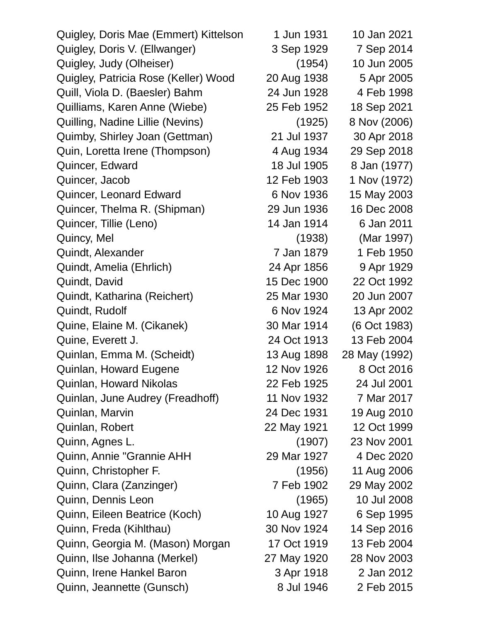| Quigley, Doris Mae (Emmert) Kittelson | 1 Jun 1931  | 10 Jan 2021   |
|---------------------------------------|-------------|---------------|
| Quigley, Doris V. (Ellwanger)         | 3 Sep 1929  | 7 Sep 2014    |
| Quigley, Judy (Olheiser)              | (1954)      | 10 Jun 2005   |
| Quigley, Patricia Rose (Keller) Wood  | 20 Aug 1938 | 5 Apr 2005    |
| Quill, Viola D. (Baesler) Bahm        | 24 Jun 1928 | 4 Feb 1998    |
| Quilliams, Karen Anne (Wiebe)         | 25 Feb 1952 | 18 Sep 2021   |
| Quilling, Nadine Lillie (Nevins)      | (1925)      | 8 Nov (2006)  |
| Quimby, Shirley Joan (Gettman)        | 21 Jul 1937 | 30 Apr 2018   |
| Quin, Loretta Irene (Thompson)        | 4 Aug 1934  | 29 Sep 2018   |
| Quincer, Edward                       | 18 Jul 1905 | 8 Jan (1977)  |
| Quincer, Jacob                        | 12 Feb 1903 | 1 Nov (1972)  |
| Quincer, Leonard Edward               | 6 Nov 1936  | 15 May 2003   |
| Quincer, Thelma R. (Shipman)          | 29 Jun 1936 | 16 Dec 2008   |
| Quincer, Tillie (Leno)                | 14 Jan 1914 | 6 Jan 2011    |
| Quincy, Mel                           | (1938)      | (Mar 1997)    |
| Quindt, Alexander                     | 7 Jan 1879  | 1 Feb 1950    |
| Quindt, Amelia (Ehrlich)              | 24 Apr 1856 | 9 Apr 1929    |
| Quindt, David                         | 15 Dec 1900 | 22 Oct 1992   |
| Quindt, Katharina (Reichert)          | 25 Mar 1930 | 20 Jun 2007   |
| Quindt, Rudolf                        | 6 Nov 1924  | 13 Apr 2002   |
| Quine, Elaine M. (Cikanek)            | 30 Mar 1914 | (6 Oct 1983)  |
| Quine, Everett J.                     | 24 Oct 1913 | 13 Feb 2004   |
| Quinlan, Emma M. (Scheidt)            | 13 Aug 1898 | 28 May (1992) |
| Quinlan, Howard Eugene                | 12 Nov 1926 | 8 Oct 2016    |
| Quinlan, Howard Nikolas               | 22 Feb 1925 | 24 Jul 2001   |
| Quinlan, June Audrey (Freadhoff)      | 11 Nov 1932 | 7 Mar 2017    |
| Quinlan, Marvin                       | 24 Dec 1931 | 19 Aug 2010   |
| Quinlan, Robert                       | 22 May 1921 | 12 Oct 1999   |
| Quinn, Agnes L.                       | (1907)      | 23 Nov 2001   |
| Quinn, Annie "Grannie AHH             | 29 Mar 1927 | 4 Dec 2020    |
| Quinn, Christopher F.                 | (1956)      | 11 Aug 2006   |
| Quinn, Clara (Zanzinger)              | 7 Feb 1902  | 29 May 2002   |
| Quinn, Dennis Leon                    | (1965)      | 10 Jul 2008   |
| Quinn, Eileen Beatrice (Koch)         | 10 Aug 1927 | 6 Sep 1995    |
| Quinn, Freda (Kihlthau)               | 30 Nov 1924 | 14 Sep 2016   |
| Quinn, Georgia M. (Mason) Morgan      | 17 Oct 1919 | 13 Feb 2004   |
| Quinn, Ilse Johanna (Merkel)          | 27 May 1920 | 28 Nov 2003   |
| Quinn, Irene Hankel Baron             | 3 Apr 1918  | 2 Jan 2012    |
| Quinn, Jeannette (Gunsch)             | 8 Jul 1946  | 2 Feb 2015    |
|                                       |             |               |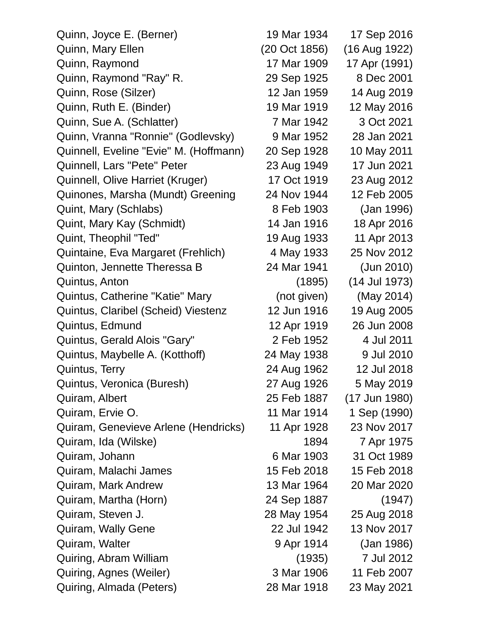| Quinn, Joyce E. (Berner)               | 19 Mar 1934   | 17 Sep 2016   |
|----------------------------------------|---------------|---------------|
| Quinn, Mary Ellen                      | (20 Oct 1856) | (16 Aug 1922) |
| Quinn, Raymond                         | 17 Mar 1909   | 17 Apr (1991) |
| Quinn, Raymond "Ray" R.                | 29 Sep 1925   | 8 Dec 2001    |
| Quinn, Rose (Silzer)                   | 12 Jan 1959   | 14 Aug 2019   |
| Quinn, Ruth E. (Binder)                | 19 Mar 1919   | 12 May 2016   |
| Quinn, Sue A. (Schlatter)              | 7 Mar 1942    | 3 Oct 2021    |
| Quinn, Vranna "Ronnie" (Godlevsky)     | 9 Mar 1952    | 28 Jan 2021   |
| Quinnell, Eveline "Evie" M. (Hoffmann) | 20 Sep 1928   | 10 May 2011   |
| Quinnell, Lars "Pete" Peter            | 23 Aug 1949   | 17 Jun 2021   |
| Quinnell, Olive Harriet (Kruger)       | 17 Oct 1919   | 23 Aug 2012   |
| Quinones, Marsha (Mundt) Greening      | 24 Nov 1944   | 12 Feb 2005   |
| Quint, Mary (Schlabs)                  | 8 Feb 1903    | (Jan 1996)    |
| Quint, Mary Kay (Schmidt)              | 14 Jan 1916   | 18 Apr 2016   |
| Quint, Theophil "Ted"                  | 19 Aug 1933   | 11 Apr 2013   |
| Quintaine, Eva Margaret (Frehlich)     | 4 May 1933    | 25 Nov 2012   |
| Quinton, Jennette Theressa B           | 24 Mar 1941   | (Jun 2010)    |
| Quintus, Anton                         | (1895)        | (14 Jul 1973) |
| Quintus, Catherine "Katie" Mary        | (not given)   | (May 2014)    |
| Quintus, Claribel (Scheid) Viestenz    | 12 Jun 1916   | 19 Aug 2005   |
| Quintus, Edmund                        | 12 Apr 1919   | 26 Jun 2008   |
| Quintus, Gerald Alois "Gary"           | 2 Feb 1952    | 4 Jul 2011    |
| Quintus, Maybelle A. (Kotthoff)        | 24 May 1938   | 9 Jul 2010    |
| Quintus, Terry                         | 24 Aug 1962   | 12 Jul 2018   |
| Quintus, Veronica (Buresh)             | 27 Aug 1926   | 5 May 2019    |
| Quiram, Albert                         | 25 Feb 1887   | (17 Jun 1980) |
| Quiram, Ervie O.                       | 11 Mar 1914   | 1 Sep (1990)  |
| Quiram, Genevieve Arlene (Hendricks)   | 11 Apr 1928   | 23 Nov 2017   |
| Quiram, Ida (Wilske)                   | 1894          | 7 Apr 1975    |
| Quiram, Johann                         | 6 Mar 1903    | 31 Oct 1989   |
| Quiram, Malachi James                  | 15 Feb 2018   | 15 Feb 2018   |
| Quiram, Mark Andrew                    | 13 Mar 1964   | 20 Mar 2020   |
| Quiram, Martha (Horn)                  | 24 Sep 1887   | (1947)        |
| Quiram, Steven J.                      | 28 May 1954   | 25 Aug 2018   |
| Quiram, Wally Gene                     | 22 Jul 1942   | 13 Nov 2017   |
| Quiram, Walter                         | 9 Apr 1914    | (Jan 1986)    |
| Quiring, Abram William                 | (1935)        | 7 Jul 2012    |
| Quiring, Agnes (Weiler)                | 3 Mar 1906    | 11 Feb 2007   |
| Quiring, Almada (Peters)               | 28 Mar 1918   | 23 May 2021   |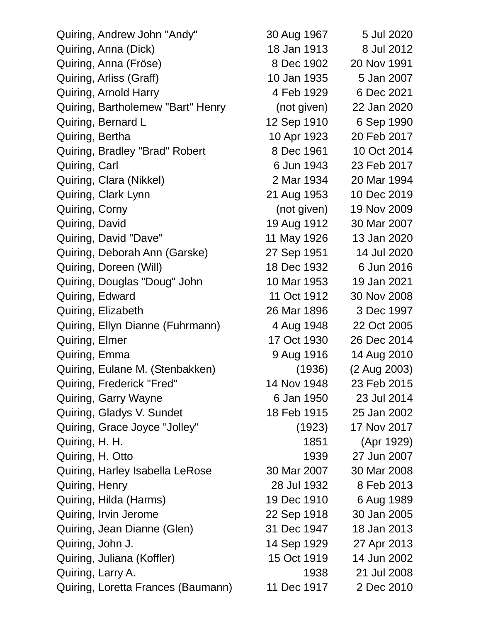| Quiring, Andrew John "Andy"        | 30 Aug 1967 | 5 Jul 2020   |
|------------------------------------|-------------|--------------|
| Quiring, Anna (Dick)               | 18 Jan 1913 | 8 Jul 2012   |
| Quiring, Anna (Fröse)              | 8 Dec 1902  | 20 Nov 1991  |
| Quiring, Arliss (Graff)            | 10 Jan 1935 | 5 Jan 2007   |
| Quiring, Arnold Harry              | 4 Feb 1929  | 6 Dec 2021   |
| Quiring, Bartholemew "Bart" Henry  | (not given) | 22 Jan 2020  |
| Quiring, Bernard L                 | 12 Sep 1910 | 6 Sep 1990   |
| Quiring, Bertha                    | 10 Apr 1923 | 20 Feb 2017  |
| Quiring, Bradley "Brad" Robert     | 8 Dec 1961  | 10 Oct 2014  |
| Quiring, Carl                      | 6 Jun 1943  | 23 Feb 2017  |
| Quiring, Clara (Nikkel)            | 2 Mar 1934  | 20 Mar 1994  |
| Quiring, Clark Lynn                | 21 Aug 1953 | 10 Dec 2019  |
| Quiring, Corny                     | (not given) | 19 Nov 2009  |
| Quiring, David                     | 19 Aug 1912 | 30 Mar 2007  |
| Quiring, David "Dave"              | 11 May 1926 | 13 Jan 2020  |
| Quiring, Deborah Ann (Garske)      | 27 Sep 1951 | 14 Jul 2020  |
| Quiring, Doreen (Will)             | 18 Dec 1932 | 6 Jun 2016   |
| Quiring, Douglas "Doug" John       | 10 Mar 1953 | 19 Jan 2021  |
| Quiring, Edward                    | 11 Oct 1912 | 30 Nov 2008  |
| Quiring, Elizabeth                 | 26 Mar 1896 | 3 Dec 1997   |
| Quiring, Ellyn Dianne (Fuhrmann)   | 4 Aug 1948  | 22 Oct 2005  |
| Quiring, Elmer                     | 17 Oct 1930 | 26 Dec 2014  |
| Quiring, Emma                      | 9 Aug 1916  | 14 Aug 2010  |
| Quiring, Eulane M. (Stenbakken)    | (1936)      | (2 Aug 2003) |
| Quiring, Frederick "Fred"          | 14 Nov 1948 | 23 Feb 2015  |
| Quiring, Garry Wayne               | 6 Jan 1950  | 23 Jul 2014  |
| Quiring, Gladys V. Sundet          | 18 Feb 1915 | 25 Jan 2002  |
| Quiring, Grace Joyce "Jolley"      | (1923)      | 17 Nov 2017  |
| Quiring, H. H.                     | 1851        | (Apr 1929)   |
| Quiring, H. Otto                   | 1939        | 27 Jun 2007  |
| Quiring, Harley Isabella LeRose    | 30 Mar 2007 | 30 Mar 2008  |
| Quiring, Henry                     | 28 Jul 1932 | 8 Feb 2013   |
| Quiring, Hilda (Harms)             | 19 Dec 1910 | 6 Aug 1989   |
| Quiring, Irvin Jerome              | 22 Sep 1918 | 30 Jan 2005  |
| Quiring, Jean Dianne (Glen)        | 31 Dec 1947 | 18 Jan 2013  |
| Quiring, John J.                   | 14 Sep 1929 | 27 Apr 2013  |
| Quiring, Juliana (Koffler)         | 15 Oct 1919 | 14 Jun 2002  |
| Quiring, Larry A.                  | 1938        | 21 Jul 2008  |
| Quiring, Loretta Frances (Baumann) | 11 Dec 1917 | 2 Dec 2010   |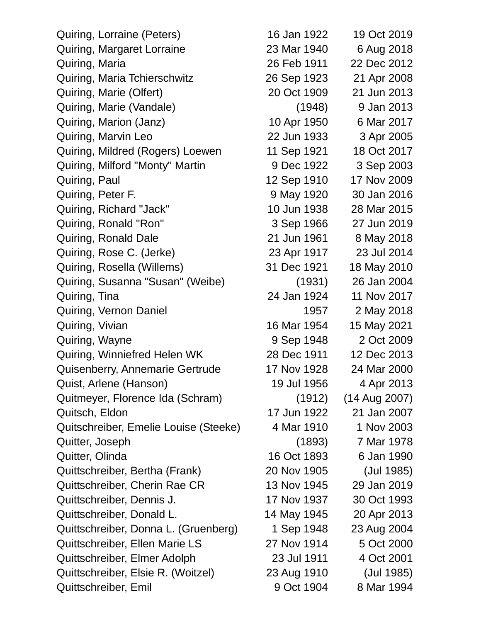| Quiring, Lorraine (Peters)            | 16 Jan 1922 | 19 Oct 2019     |
|---------------------------------------|-------------|-----------------|
| Quiring, Margaret Lorraine            | 23 Mar 1940 | 6 Aug 2018      |
| Quiring, Maria                        | 26 Feb 1911 | 22 Dec 2012     |
| Quiring, Maria Tchierschwitz          | 26 Sep 1923 | 21 Apr 2008     |
| Quiring, Marie (Olfert)               | 20 Oct 1909 | 21 Jun 2013     |
| Quiring, Marie (Vandale)              | (1948)      | 9 Jan 2013      |
| Quiring, Marion (Janz)                | 10 Apr 1950 | 6 Mar 2017      |
| Quiring, Marvin Leo                   | 22 Jun 1933 | 3 Apr 2005      |
| Quiring, Mildred (Rogers) Loewen      | 11 Sep 1921 | 18 Oct 2017     |
| Quiring, Milford "Monty" Martin       | 9 Dec 1922  | 3 Sep 2003      |
| Quiring, Paul                         | 12 Sep 1910 | 17 Nov 2009     |
| Quiring, Peter F.                     | 9 May 1920  | 30 Jan 2016     |
| Quiring, Richard "Jack"               | 10 Jun 1938 | 28 Mar 2015     |
| Quiring, Ronald "Ron"                 | 3 Sep 1966  | 27 Jun 2019     |
| Quiring, Ronald Dale                  | 21 Jun 1961 | 8 May 2018      |
| Quiring, Rose C. (Jerke)              | 23 Apr 1917 | 23 Jul 2014     |
| Quiring, Rosella (Willems)            | 31 Dec 1921 | 18 May 2010     |
| Quiring, Susanna "Susan" (Weibe)      | (1931)      | 26 Jan 2004     |
| Quiring, Tina                         | 24 Jan 1924 | 11 Nov 2017     |
| Quiring, Vernon Daniel                | 1957        | 2 May 2018      |
| Quiring, Vivian                       | 16 Mar 1954 | 15 May 2021     |
| Quiring, Wayne                        | 9 Sep 1948  | 2 Oct 2009      |
| Quiring, Winniefred Helen WK          | 28 Dec 1911 | 12 Dec 2013     |
| Quisenberry, Annemarie Gertrude       | 17 Nov 1928 | 24 Mar 2000     |
| Quist, Arlene (Hanson)                | 19 Jul 1956 | 4 Apr 2013      |
| Quitmeyer, Florence Ida (Schram)      | (1912)      | $(14$ Aug 2007) |
| Quitsch, Eldon                        | 17 Jun 1922 | 21 Jan 2007     |
| Quitschreiber, Emelie Louise (Steeke) | 4 Mar 1910  | 1 Nov 2003      |
| Quitter, Joseph                       | (1893)      | 7 Mar 1978      |
| Quitter, Olinda                       | 16 Oct 1893 | 6 Jan 1990      |
| Quittschreiber, Bertha (Frank)        | 20 Nov 1905 | (Jul 1985)      |
| Quittschreiber, Cherin Rae CR         | 13 Nov 1945 | 29 Jan 2019     |
| Quittschreiber, Dennis J.             | 17 Nov 1937 | 30 Oct 1993     |
| Quittschreiber, Donald L.             | 14 May 1945 | 20 Apr 2013     |
| Quittschreiber, Donna L. (Gruenberg)  | 1 Sep 1948  | 23 Aug 2004     |
| Quittschreiber, Ellen Marie LS        | 27 Nov 1914 | 5 Oct 2000      |
| Quittschreiber, Elmer Adolph          | 23 Jul 1911 | 4 Oct 2001      |
| Quittschreiber, Elsie R. (Woitzel)    | 23 Aug 1910 | (Jul 1985)      |
| Quittschreiber, Emil                  | 9 Oct 1904  | 8 Mar 1994      |